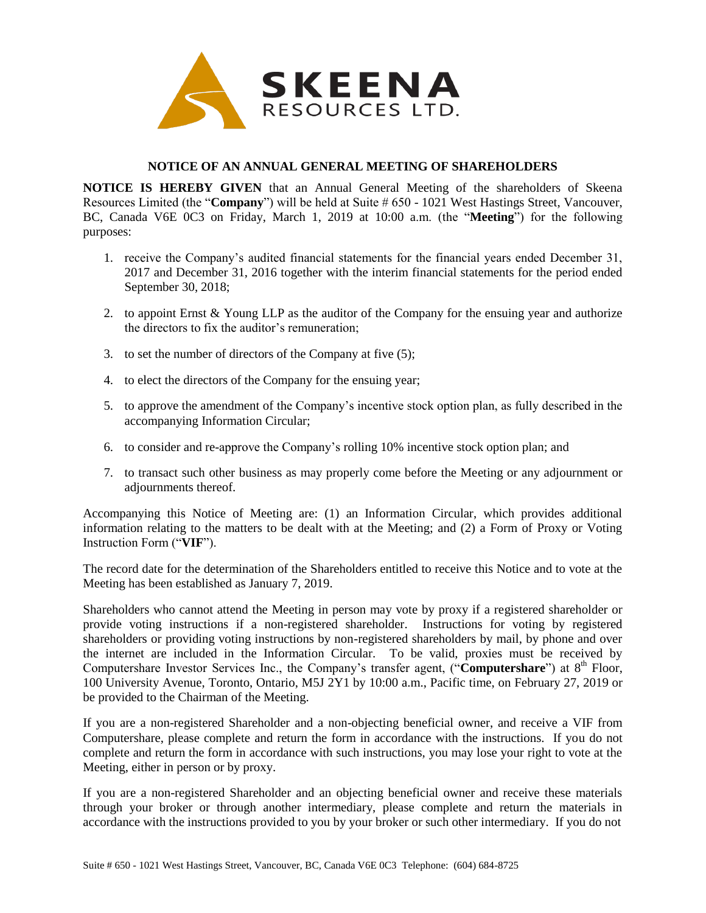

## **NOTICE OF AN ANNUAL GENERAL MEETING OF SHAREHOLDERS**

**NOTICE IS HEREBY GIVEN** that an Annual General Meeting of the shareholders of Skeena Resources Limited (the "**Company**") will be held at Suite # 650 - 1021 West Hastings Street, Vancouver, BC, Canada V6E 0C3 on Friday, March 1, 2019 at 10:00 a.m. (the "**Meeting**") for the following purposes:

- 1. receive the Company's audited financial statements for the financial years ended December 31, 2017 and December 31, 2016 together with the interim financial statements for the period ended September 30, 2018;
- 2. to appoint Ernst & Young LLP as the auditor of the Company for the ensuing year and authorize the directors to fix the auditor's remuneration;
- 3. to set the number of directors of the Company at five (5);
- 4. to elect the directors of the Company for the ensuing year;
- 5. to approve the amendment of the Company's incentive stock option plan, as fully described in the accompanying Information Circular;
- 6. to consider and re-approve the Company's rolling 10% incentive stock option plan; and
- 7. to transact such other business as may properly come before the Meeting or any adjournment or adjournments thereof.

Accompanying this Notice of Meeting are: (1) an Information Circular, which provides additional information relating to the matters to be dealt with at the Meeting; and (2) a Form of Proxy or Voting Instruction Form ("**VIF**").

The record date for the determination of the Shareholders entitled to receive this Notice and to vote at the Meeting has been established as January 7, 2019.

Shareholders who cannot attend the Meeting in person may vote by proxy if a registered shareholder or provide voting instructions if a non-registered shareholder. Instructions for voting by registered shareholders or providing voting instructions by non-registered shareholders by mail, by phone and over the internet are included in the Information Circular. To be valid, proxies must be received by Computershare Investor Services Inc., the Company's transfer agent, ("Computershare") at 8<sup>th</sup> Floor, 100 University Avenue, Toronto, Ontario, M5J 2Y1 by 10:00 a.m., Pacific time, on February 27, 2019 or be provided to the Chairman of the Meeting.

If you are a non-registered Shareholder and a non-objecting beneficial owner, and receive a VIF from Computershare, please complete and return the form in accordance with the instructions. If you do not complete and return the form in accordance with such instructions, you may lose your right to vote at the Meeting, either in person or by proxy.

If you are a non-registered Shareholder and an objecting beneficial owner and receive these materials through your broker or through another intermediary, please complete and return the materials in accordance with the instructions provided to you by your broker or such other intermediary. If you do not